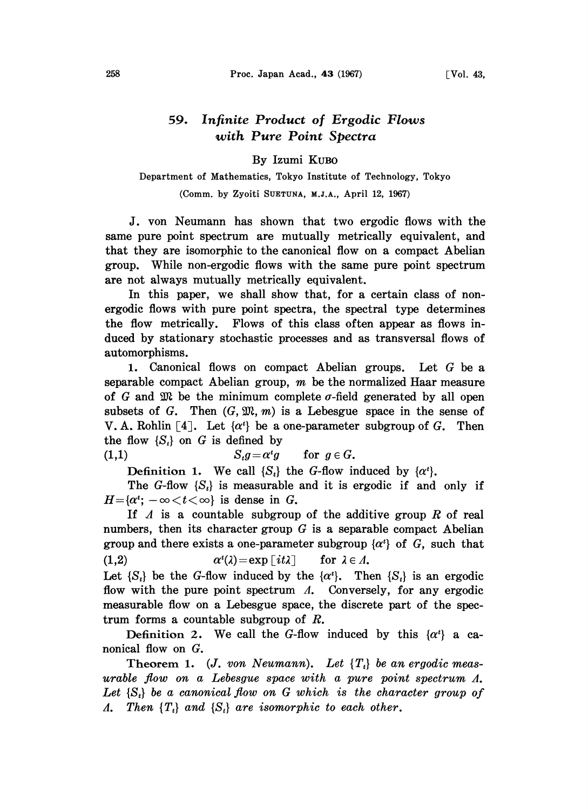## 59. Infinite Product of Ergodic Flows with Pure Point Spectra

By Izumi KuBo

Department of Mathematics, Tokyo Institute of Technology, Tokyo

(Comm. by Zyoiti SUETUNA, M.J.A., April 12, 1967)

J. von Neumann has shown that two ergodic flows with the same pure point spectrum are mutually metrically equivalent, and that they are isomorphic to the canonical flow on a compact Abelian group. While non-ergodic flows with the same pure point spectrum are not always mutually metrically equivalent.

In this paper, we shall show that, for a certain class of nonergodic flows with pure point spectra, the spectral type determines the flow metrically. Flows of this class often appear as flows induced by stationary stochastic processes and as transversal flows of automorphisms.

1. Canonical flows on compact Abelian groups. Let  $G$  be a separable compact Abelian group,  $m$  be the normalized Haar measure of G and  $\mathfrak{M}$  be the minimum complete  $\sigma$ -field generated by all open subsets of G. Then  $(G, \mathfrak{M}, m)$  is a Lebesgue space in the sense of V. A. Rohlin [4]. Let  $\{\alpha^i\}$  be a one-parameter subgroup of G. Then the flow  $\{S_t\}$  on G is defined by

(1,1)  $S_t g = \alpha^t g$  for  $g \in G$ .

Definition 1. We call  $\{S_t\}$  the G-flow induced by  $\{\alpha^t\}$ .

The G-flow  $\{S_t\}$  is measurable and it is ergodic if and only if  $H = \{ \alpha^t : -\infty < t < \infty \}$  is dense in G.

If  $\Lambda$  is a countable subgroup of the additive group R of real numbers, then its character group  $G$  is a separable compact Abelian group and there exists a one-parameter subgroup  $\{\alpha^i\}$  of G, such that (1,2)  $\alpha^{(i)} = \exp[i\omega t]$  for  $\lambda \in \Lambda$ .

Let  $\{S_t\}$  be the G-flow induced by the  $\{\alpha^t\}$ . Then  $\{S_t\}$  is an ergodic flow with the pure point spectrum  $\Lambda$ . Conversely, for any ergodic measurable flow on a Lebesgue space, the discrete part of the spectrum forms a countable subgroup of R.

Definition 2. We call the G-flow induced by this  $\{\alpha^t\}$  a canonical flow on G.

Theorem 1. (J. von Neumann). Let  $\{T_t\}$  be an ergodic measurable flow on a Lebesgue space with a pure point spectrum  $\Lambda$ . Let  $\{S_t\}$  be a canonical flow on G which is the character group of A. Then  $\{T_t\}$  and  $\{S_t\}$  are isomorphic to each other.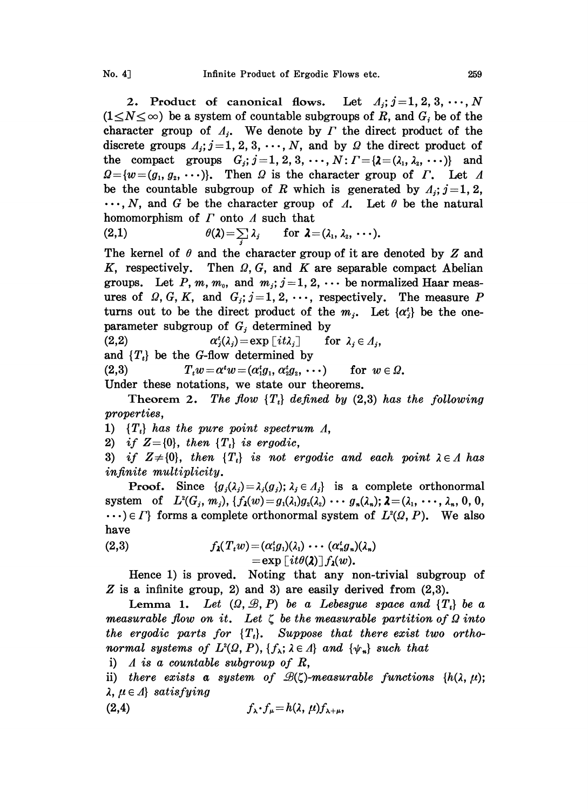2. Product of canonical flows. Let  $A_j$ ;  $j=1, 2, 3, \dots, N$  $(1 \le N \le \infty)$  be a system of countable subgroups of R, and  $G_i$  be of the character group of  $A_i$ . We denote by  $\Gamma$  the direct product of the discrete groups  $A_j$ ;  $j=1, 2, 3, \cdots, N$ , and by  $\Omega$  the direct product of the compact groups  $G_j$ ;  $j=1, 2, 3, \cdots, N$ :  $\Gamma = \{ \lambda = (\lambda_1, \lambda_2, \cdots) \}$  and  $Q = \{w = (g_1, g_2, \dots)\}.$  Then  $\Omega$  is the character group of  $\Gamma$ . Let  $\Lambda$ be the countable subgroup of R which is generated by  $A_i$ ;  $j=1, 2$ ,  $\ldots$ , N, and G be the character group of  $\Lambda$ . Let  $\theta$  be the natural homomorphism of  $\Gamma$  onto  $\Lambda$  such that<br>(2,1)  $\theta(\lambda) = \sum_i \lambda_i$  for  $\lambda =$ 

(2,1) 
$$
\theta(\lambda) = \sum_i \lambda_i \quad \text{for } \lambda = (\lambda_1, \lambda_2, \cdots).
$$

(2,1)  $\theta(\lambda) = \sum_{j} \lambda_j$  for  $\lambda = (\lambda_1, \lambda_2, \cdots)$ .<br>The kernel of  $\theta$  and the character group of it are denoted by Z and K, respectively. Then  $\Omega$ , G, and K are separable compact Abelian The kernel of  $\theta$  and the character group of it are denoted by Z and groups. Let P, m,  $m_0$ , and  $m_j$ ;  $j=1, 2, \cdots$  be normalized Haar measures of  $Q, G, K$ , and  $G_i$ ;  $j=1, 2, \cdots$ , respectively. The measure P turns out to be the direct product of the  $m_i$ . Let  $\{\alpha_i^i\}$  be the oneparameter subgroup of  $G_j$  determined by<br>(2,2)  $\alpha_j^*(\lambda_i) = \exp[i\Omega_i]$  for  $\lambda_i \in \Lambda_i$ ,

 $\alpha_i^t(\lambda_i) = \exp[i t \lambda_i]$ 

and  $\{T_t\}$  be the G-flow determined by

(2,3)  $T_t w = \alpha^t w = (\alpha_1^t g_1, \alpha_2^t g_2, \cdots)$  for  $w \in \Omega$ .

Under these notations, we state our theorems.

Theorem 2. The flow  $\{T_t\}$  defined by (2,3) has the following properties,

1)  $\{T_t\}$  has the pure point spectrum  $\Lambda$ ,

2) if  $Z = \{0\}$ , then  $\{T_i\}$  is ergodic,

3) if  $Z\neq\{0\}$ , then  $\{T_i\}$  is not ergodic and each point  $\lambda \in A$  has infinite multiplicity.

**Proof.** Since  $\{g_i(\lambda_j) = \lambda_i(g_j); \lambda_j \in A_j\}$  is a complete orthonormal system of  $L^2(G_j, m_j)$ ,  $\{f_\lambda(w)=g_1(\lambda_1)g_\lambda(\lambda_2) \cdots g_n(\lambda_n); \lambda=(\lambda_1, \cdots, \lambda_n, 0, 0, \lambda_1)\}$  $\cdots$ )  $\in \Gamma$  forms a complete orthonormal system of  $L^2(\Omega, P)$ . We also have

(2,3) 
$$
f_{\lambda}(T_{i}w) = (\alpha_{1}^{i}g_{1})(\lambda_{1}) \cdots (\alpha_{n}^{i}g_{n})(\lambda_{n})
$$

$$
= \exp\left[i t \theta(\lambda)\right] f_{\lambda}(w).
$$

Hence 1) is proved. Noting that any non-trivial subgroup of  $Z$  is a infinite group, 2) and 3) are easily derived from  $(2,3)$ .

Lemma 1. Let  $(\Omega, \mathcal{B}, P)$  be a Lebesgue space and  $\{T_t\}$  be a measurable flow on it. Let  $\zeta$  be the measurable partition of  $\Omega$  into the ergodic parts for  $\{T_i\}$ . Suppose that there exist two orthonormal systems of  $L^2(\Omega, P)$ ,  $\{f_\lambda : \lambda \in \Lambda\}$  and  $\{\psi_n\}$  such that

i)  $\Lambda$  is a countable subgroup of  $R$ ,

ii) there exists a system of  $\mathcal{B}(\zeta)$ -measurable functions {h( $\lambda$ ,  $\mu$ );  $\lambda, \mu \in \Lambda$  satisfying

$$
(2,4) \t\t f_{\lambda} \cdot f_{\mu} = h(\lambda, \mu) f_{\lambda+\mu},
$$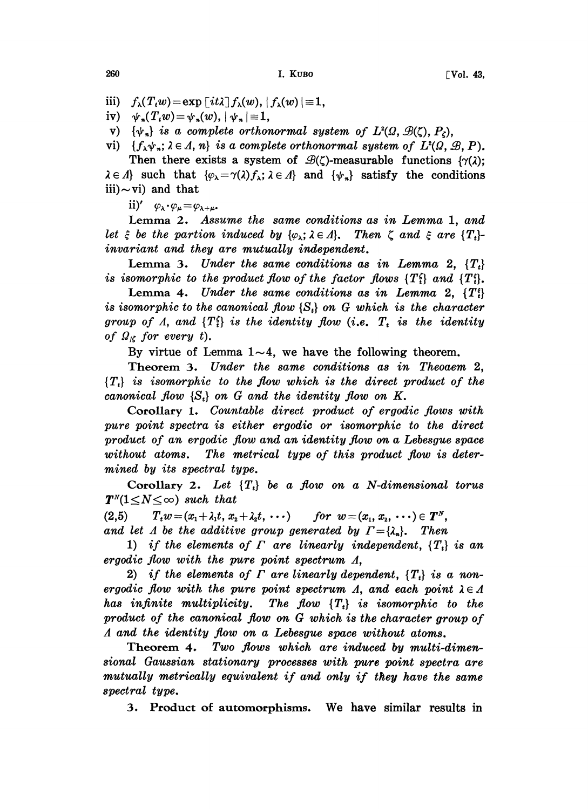iii)  $f_{\lambda}(T_{t}w) = \exp\left[i t \lambda\right] f_{\lambda}(w), |f_{\lambda}(w)| = 1,$ 

iv)  $\psi_n(T_i w) = \psi_n(w), |\psi_n| \equiv 1,$ 

v)  $\{\psi_n\}$  is a complete orthonormal system of  $L^2(\Omega, \mathcal{B}(\zeta), P_\zeta)$ ,

vi)  $\{f_{\lambda}\psi_n; \lambda \in \Lambda, n\}$  is a complete orthonormal system of  $L^2(\Omega, \mathcal{B}, P)$ .

Then there exists a system of  $\mathcal{B}(\zeta)$ -measurable functions  $\{\gamma(\lambda)\}\$  $\lambda \in \Lambda$  such that  $\{\varphi_{\lambda} = \gamma(\lambda)f_{\lambda}; \lambda \in \Lambda\}$  and  $\{\psi_n\}$  satisfy the conditions iii) $\sim$ vi) and that

ii)'  $\varphi_{\lambda} \cdot \varphi_{\mu} = \varphi_{\lambda + \mu}$ .

Lemma 2. Assume the same conditions as in Lemma 1, and let  $\xi$  be the partion induced by  $\{\varphi_{\lambda}; \lambda \in \Lambda\}$ . Then  $\zeta$  and  $\xi$  are  $\{T_{t}\}$ invariant and they are mutually independent.

Lemma 3. Under the same conditions as in Lemma 2,  $\{T_t\}$ is isomorphic to the product flow of the factor flows  $\{T_i^{\epsilon}\}\$  and  $\{T_i^{\epsilon}\}\$ .

Lemma 4. Under the same conditions as in Lemma 2,  $\{T_i^{\epsilon}\}\$ is isomorphic to the canonical flow  $\{S_n\}$  on G which is the character group of A, and  $\{T_i^{\xi}\}\$ is the identity flow (i.e.  $T_t$  is the identity of  $\Omega_{\kappa}$  for every t).

By virtue of Lemma  $1 \sim 4$ , we have the following theorem.

Theorem 3. Under the same conditions as in Theoaem 2,  ${T<sub>t</sub>}$  is isomorphic to the flow which is the direct product of the canonical flow  $\{S_t\}$  on G and the identity flow on K.

Corollary 1. Countable direct product of ergodic flows with pure point spectra is either ergodic or isomorphic to the direct product of an ergodic flow and an identity flow on a Lebesgue space without atoms. The metrical type of this product flow is determined by its spectral type.

Corollary 2. Let  $\{T_i\}$  be a flow on a N-dimensional torus  $T^N(1 \le N \le \infty)$  such that<br>(2,5)  $T_t w = (x_1 + \lambda_1 t, x_2)$ 

 $T_t w = (x_1 + \lambda_1 t, x_2 + \lambda_2 t, \cdots)$  for  $w = (x_1, x_2, \cdots) \in T^N$ , and let A be the additive group generated by  $\Gamma = \{\lambda_n\}$ . Then

1) if the elements of  $\Gamma$  are linearly independent,  $\{T_t\}$  is an ergodic flow with the pure point spectrum  $\Lambda$ ,

2) if the elements of  $\Gamma$  are linearly dependent,  $\{T_t\}$  is a nonergodic flow with the pure point spectrum  $\Lambda$ , and each point  $\lambda \in \Lambda$ has infinite multiplicity. The flow  $\{T_i\}$  is isomorphic to the product of the canonical flow on G which is the character group of  $\Lambda$  and the identity flow on a Lebesgue space without atoms.

Theorem 4. Two flows which are induced by multi-dimensional Gaussian stationary processes with pure point spectra are<br>mutually metrically equivalent if and only if they have the same spectral type.

3. Product of automorphisms. We have similar results in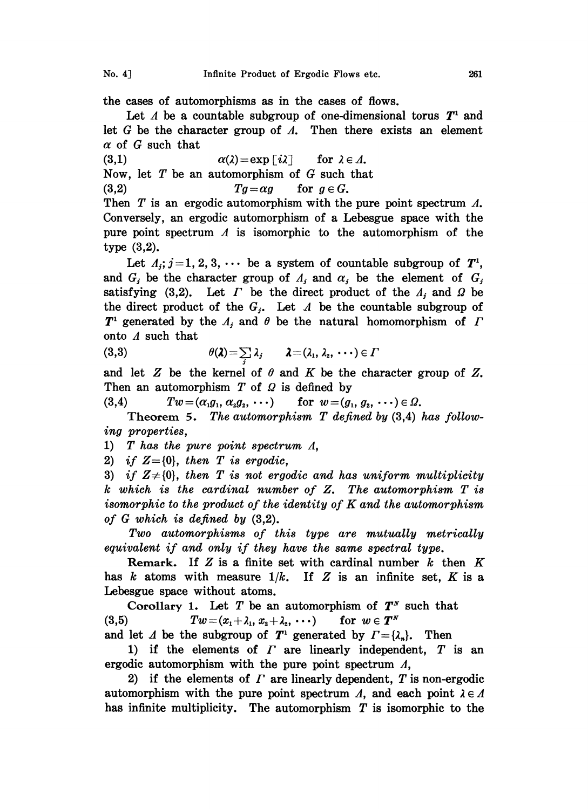the cases of automorphisms as in the cases of flows.

Let  $\Lambda$  be a countable subgroup of one-dimensional torus  $T^1$  and let G be the character group of  $\Lambda$ . Then there exists an element  $\alpha$  of G such that

(3,1)  $\alpha(\lambda) = \exp[i\lambda]$  for  $\lambda \in \Lambda$ .

Now, let  $T$  be an automorphism of  $G$  such that

(3,2)  $Tg = \alpha g$  for  $g \in G$ .

Then  $T$  is an ergodic automorphism with the pure point spectrum  $\Lambda$ . Conversely, an ergodic automorphism of a Lebesgue space with the pure point spectrum  $\Lambda$  is isomorphic to the automorphism of the type (3,2).

Let  $A_i$ ;  $j=1, 2, 3, \cdots$  be a system of countable subgroup of  $T^1$ , and  $G_j$  be the character group of  $A_j$  and  $\alpha_j$  be the element of  $G_j$ satisfying (3,2). Let  $\Gamma$  be the direct product of the  $\Lambda_i$  and  $\Omega$  be the direct product of the  $G_j$ . Let  $\Lambda$  be the countable subgroup of  $T^1$  generated by the  $A_j$  and  $\theta$  be the natural homomorphism of  $\Gamma$ onto A such that

(3,3) 
$$
\theta(\lambda) = \sum_i \lambda_i \qquad \lambda = (\lambda_1, \lambda_2, \cdots) \in \Gamma
$$

and let Z be the kernel of  $\theta$  and K be the character group of Z. Then an automorphism  $T$  of  $\Omega$  is defined by

(3,4)  $Tw = (\alpha_1 g_1, \alpha_2 g_2, \cdots)$  for  $w = (g_1, g_2, \cdots) \in \Omega$ .

Theorem 5. The automorphism  $T$  defined by  $(3,4)$  has following properties,

1) T has the pure point spectrum A,

2) if  $Z = \{0\}$ , then T is ergodic,

3) if  $Z\neq\{0\}$ , then T is not ergodic and has uniform multiplicity <sup>k</sup> which is the cardinal number of Z. The automorphism T is isomorphic to the product of the identity of K and the automorphism of G which is defined by (3,2).

Two automorphisms of this type are mutually metrically equivalent if and only if they have the same spectral type.

Remark. If Z is a finite set with cardinal number  $k$  then K has k atoms with measure  $1/k$ . If Z is an infinite set, K is a Lebesgue space without atoms.

Corollary 1. Let T be an automorphism of  $T^N$  such that (3,5)  $Tw = (x_1 + \lambda_1, x_2 + \lambda_2, \cdots)$  for  $w \in T^N$ 

and let A be the subgroup of  $T^1$  generated by  $\Gamma = {\lambda_n}$ . Then

1) if the elements of  $\Gamma$  are linearly independent,  $T$  is an ergodic automorphism with the pure point spectrum  $\Lambda$ ,

2) if the elements of  $\Gamma$  are linearly dependent,  $T$  is non-ergodic automorphism with the pure point spectrum  $\Lambda$ , and each point  $\lambda \in \Lambda$ has infinite multiplicity. The automorphism  $T$  is isomorphic to the